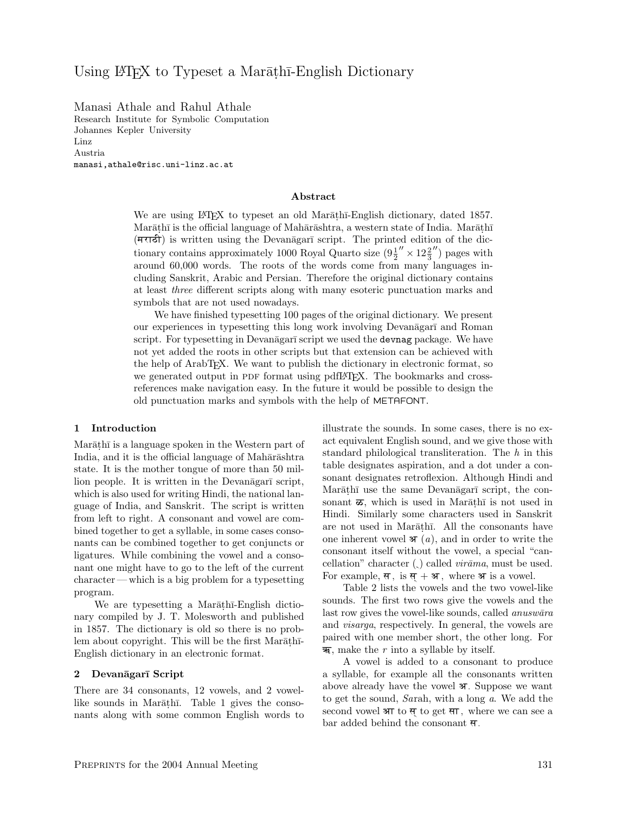# Using LATEX to Typeset a Marathi-English Dictionary

Manasi Athale and Rahul Athale Research Institute for Symbolic Computation Johannes Kepler University Linz Austria manasi,athale@risc.uni-linz.ac.at

### Abstract

We are using LATEX to typeset an old Marath<sub>1</sub>-English dictionary, dated 1857. Marāthī is the official language of Mahārāshtra, a western state of India. Marāthī  $(H \tau)$  is written using the Devanāgarī script. The printed edition of the dictionary contains approximately 1000 Royal Quarto size  $(9\frac{1}{2})$  $\sqrt{0} \times 12\frac{2}{3}$ ) pages with around 60,000 words. The roots of the words come from many languages including Sanskrit, Arabic and Persian. Therefore the original dictionary contains at least three different scripts along with many esoteric punctuation marks and symbols that are not used nowadays.

We have finished typesetting 100 pages of the original dictionary. We present our experiences in typesetting this long work involving Devanagar $\bar{a}$  and Roman script. For typesetting in Devanagari script we used the devnag package. We have not yet added the roots in other scripts but that extension can be achieved with the help of ArabTEX. We want to publish the dictionary in electronic format, so we generated output in PDF format using pdfLAT<sub>EX</sub>. The bookmarks and crossreferences make navigation easy. In the future it would be possible to design the old punctuation marks and symbols with the help of METAFONT.

#### 1 Introduction

Mar $\bar{a}$ th $\bar{a}$  is a language spoken in the Western part of India, and it is the official language of Mahārāshtra state. It is the mother tongue of more than 50 million people. It is written in the Devanagari script, which is also used for writing Hindi, the national language of India, and Sanskrit. The script is written from left to right. A consonant and vowel are combined together to get a syllable, in some cases consonants can be combined together to get conjuncts or ligatures. While combining the vowel and a consonant one might have to go to the left of the current character— which is a big problem for a typesetting program.

We are typesetting a Mar $\bar{\text{a}}$ th<del>i</del>-English dictionary compiled by J. T. Molesworth and published in 1857. The dictionary is old so there is no problem about copyright. This will be the first Mar $\bar{a}$ th $\bar{b}$ -English dictionary in an electronic format.

#### 2 Devanāgarī Script

There are 34 consonants, 12 vowels, and 2 vowellike sounds in Marāthī. Table 1 gives the consonants along with some common English words to illustrate the sounds. In some cases, there is no exact equivalent English sound, and we give those with standard philological transliteration. The  $h$  in this table designates aspiration, and a dot under a consonant designates retroflexion. Although Hindi and Marāthī use the same Devanāgarī script, the consonant  $\bar{\infty}$ , which is used in Mar $\bar{\text{at}}$  is not used in Hindi. Similarly some characters used in Sanskrit are not used in Marāthī. All the consonants have one inherent vowel  $\mathbf{\mathcal{F}}(a)$ , and in order to write the consonant itself without the vowel, a special "cancellation" character ( $\zeta$ ) called *vir* $\bar{a}$ ma, must be used. For example,  $\pi$ , is  $\pi$  +  $\pi$ , where  $\pi$  is a vowel.

Table 2 lists the vowels and the two vowel-like sounds. The first two rows give the vowels and the last row gives the vowel-like sounds, called *anuswara* and visarga, respectively. In general, the vowels are paired with one member short, the other long. For  $\overline{\mathbf{r}}$ , make the r into a syllable by itself.

A vowel is added to a consonant to produce a syllable, for example all the consonants written above already have the vowel  $\mathcal{F}$ . Suppose we want to get the sound, Sarah, with a long a. We add the second vowel  $\overline{a}$  at to  $\overline{a}$  to get  $\overline{a}$ , where we can see a bar added behind the consonant  $\pi$ .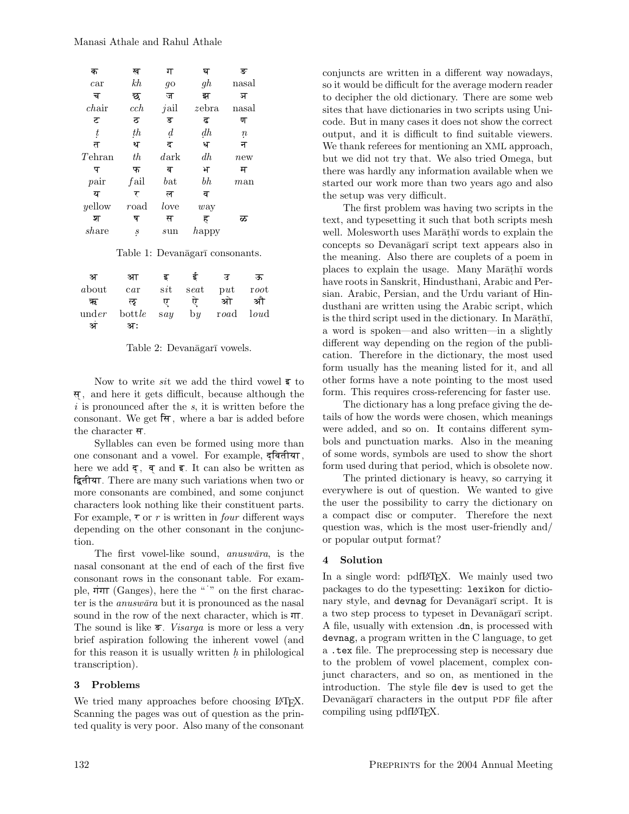| क      | ख                | ग                | घ     | ङ       |
|--------|------------------|------------------|-------|---------|
| car    | kh               | $q_{\rm O}$      | gh    | nasal   |
| च      | छ                | ज                | झ     | ञ       |
| chair  | cch              | jail             | zebra | nasal   |
| ट      | ਠ                | ड                | ढ     | ण       |
| ţ      | th               | $\boldsymbol{d}$ | dh    | $\it n$ |
| त      | थ                | ट                | ध     | न       |
| Tehran | th.              | $d$ ark          | dh    | new     |
| प      | फ                | ब                | ਮ     | म       |
| pair   | fail             | $_{\rm{bat}}$    | bh    | man     |
| य      | र                | ल                | व     |         |
| yellow | road             | love             | way   |         |
| श      | ष                | स                | ह     | ळ       |
| share  | $\boldsymbol{s}$ | $_{sun}$         | happy |         |

Table 1: Devanāgarī consonants.

| अ     | आ                 | इ   | ਛ                       | उ            | ऊ         |
|-------|-------------------|-----|-------------------------|--------------|-----------|
| about | car               | sit | seat                    | $_{\rm put}$ | root      |
| ऋ     | ल्क               | ए   | एो                      | ओ            | औ         |
| under | $\mathrm{bottle}$ | sav | $\mathbf{b} \mathbf{u}$ |              | road loud |
| अ     | आः                |     |                         |              |           |

Table 2: Devanāgarī vowels.

Now to write sit we add the third vowel  $\overline{\xi}$  to  $\overline{H}$ , and here it gets difficult, because although the  $i$  is pronounced after the  $s$ , it is written before the consonant. We get  $\overline{\mathsf{tr}}$ , where a bar is added before the character  $\boldsymbol{\pi}$ .

Syllables can even be formed using more than one consonant and a vowel. For example, दवितीया, here we add  $\overline{\xi}$ ,  $\overline{\xi}$  and  $\overline{\xi}$ . It can also be written as द्वितीया. There are many such variations when two or more consonants are combined, and some conjunct characters look nothing like their constituent parts. For example,  $\tau$  or r is written in *four* different ways depending on the other consonant in the conjunction.

The first vowel-like sound, *anuswara*, is the nasal consonant at the end of each of the first five consonant rows in the consonant table. For example,  $\overline{\text{min}}$  (Ganges), here the " " on the first character is the *anuswara* but it is pronounced as the nasal sound in the row of the next character, which is  $\Pi$ . The sound is like  $\overline{\mathbf{s}}$ . *Visarga* is more or less a very brief aspiration following the inherent vowel (and for this reason it is usually written  $h$  in philological transcription).

## 3 Problems

We tried many approaches before choosing LATEX. Scanning the pages was out of question as the printed quality is very poor. Also many of the consonant conjuncts are written in a different way nowadays, so it would be difficult for the average modern reader to decipher the old dictionary. There are some web sites that have dictionaries in two scripts using Unicode. But in many cases it does not show the correct output, and it is difficult to find suitable viewers. We thank referees for mentioning an XML approach, but we did not try that. We also tried Omega, but there was hardly any information available when we started our work more than two years ago and also the setup was very difficult.

The first problem was having two scripts in the text, and typesetting it such that both scripts mesh well. Molesworth uses Marāthī words to explain the concepts so Devanāgarī script text appears also in the meaning. Also there are couplets of a poem in places to explain the usage. Many Marath $\bar{a}$  words have roots in Sanskrit, Hindusthani, Arabic and Persian. Arabic, Persian, and the Urdu variant of Hindusthani are written using the Arabic script, which is the third script used in the dictionary. In Marāthī, a word is spoken—and also written—in a slightly different way depending on the region of the publication. Therefore in the dictionary, the most used form usually has the meaning listed for it, and all other forms have a note pointing to the most used form. This requires cross-referencing for faster use.

The dictionary has a long preface giving the details of how the words were chosen, which meanings were added, and so on. It contains different symbols and punctuation marks. Also in the meaning of some words, symbols are used to show the short form used during that period, which is obsolete now.

The printed dictionary is heavy, so carrying it everywhere is out of question. We wanted to give the user the possibility to carry the dictionary on a compact disc or computer. Therefore the next question was, which is the most user-friendly and/ or popular output format?

## 4 Solution

In a single word: pdfIATEX. We mainly used two packages to do the typesetting: lexikon for dictionary style, and devnag for Devanāgarī script. It is a two step process to typeset in Devanagari script. A file, usually with extension .dn, is processed with devnag, a program written in the C language, to get a .tex file. The preprocessing step is necessary due to the problem of vowel placement, complex conjunct characters, and so on, as mentioned in the introduction. The style file dev is used to get the Devanāgarī characters in the output PDF file after compiling using pdfL<sup>AT</sup>EX.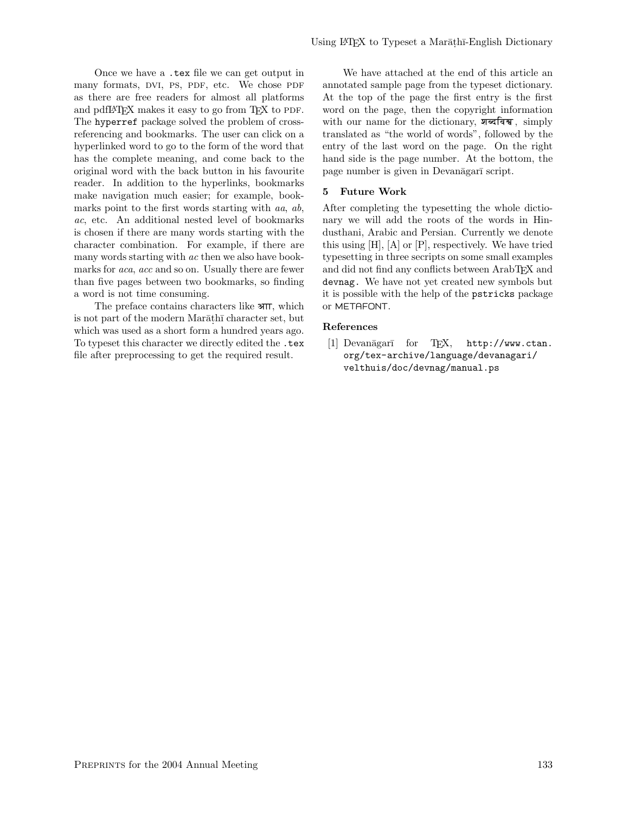Once we have a .tex file we can get output in many formats, DVI, PS, PDF, etc. We chose PDF as there are free readers for almost all platforms and pdfLAT<sub>F</sub>X makes it easy to go from T<sub>FX</sub> to PDF. The hyperref package solved the problem of crossreferencing and bookmarks. The user can click on a hyperlinked word to go to the form of the word that has the complete meaning, and come back to the original word with the back button in his favourite reader. In addition to the hyperlinks, bookmarks make navigation much easier; for example, bookmarks point to the first words starting with aa, ab, ac, etc. An additional nested level of bookmarks is chosen if there are many words starting with the character combination. For example, if there are many words starting with ac then we also have bookmarks for aca, acc and so on. Usually there are fewer than five pages between two bookmarks, so finding a word is not time consuming.

The preface contains characters like  $\mathbf{a}$ T, which is not part of the modern Marāthī character set, but which was used as a short form a hundred years ago. To typeset this character we directly edited the .tex file after preprocessing to get the required result.

We have attached at the end of this article an annotated sample page from the typeset dictionary. At the top of the page the first entry is the first word on the page, then the copyright information with our name for the dictionary, **शब्दविश्व**, simply translated as "the world of words", followed by the entry of the last word on the page. On the right hand side is the page number. At the bottom, the page number is given in Devanāgarī script.

## 5 Future Work

After completing the typesetting the whole dictionary we will add the roots of the words in Hindusthani, Arabic and Persian. Currently we denote this using  $[H]$ ,  $[A]$  or  $[P]$ , respectively. We have tried typesetting in three secripts on some small examples and did not find any conflicts between ArabTEX and devnag. We have not yet created new symbols but it is possible with the help of the pstricks package or METAFONT.

## References

[1] Devanāgarī for TFX, http://www.ctan. org/tex-archive/language/devanagari/ velthuis/doc/devnag/manual.ps